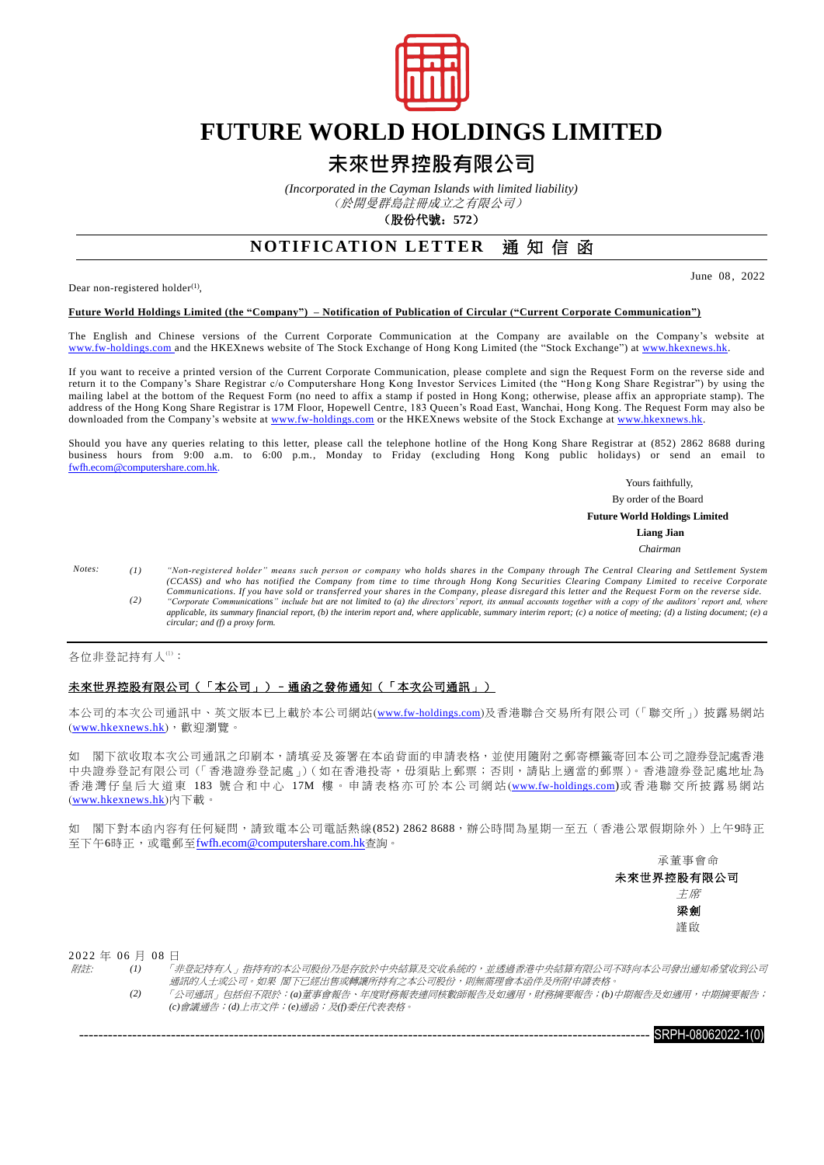

# **FUTURE WORLD HOLDINGS LIMITED**

### **未來世界控股有限公司**

*(Incorporated in the Cayman Islands with limited liability)*

(於開曼群島註冊成立之有限公司)

(股份代號:**572**)

### **NOTIFICATION LETTER** 通知信函

Dear non-registered holder $(1)$ ,

June 08, 2022

#### **Future World Holdings Limited (the "Company") – Notification of Publication of Circular ("Current Corporate Communication")**

The English and Chinese versions of the Current Corporate Communication at the Company are available on the Company's website at [www.fw-holdings.com](http://www.fw-holdings.com/) and the HKEXnews website of The Stock Exchange of Hong Kong Limited (the "Stock Exchange") at [www.hkexnews.hk.](http://www.hkexnews.hk/)

If you want to receive a printed version of the Current Corporate Communication, please complete and sign the Request Form on the reverse side and return it to the Company's Share Registrar c/o Computershare Hong Kong Investor Services Limited (the "Hong Kong Share Registrar") by using the mailing label at the bottom of the Request Form (no need to affix a stamp if posted in Hong Kong; otherwise, please affix an appropriate stamp). The address of the Hong Kong Share Registrar is 17M Floor, Hopewell Centre, 183 Queen's Road East, Wanchai, Hong Kong. The Request Form may also be downloaded from the Company's website at [www.fw-holdings.com](http://www.fw-holdings.com/) or the HKEXnews website of the Stock Exchange at [www.hkexnews.hk.](http://www.hkexnews.hk/)

Should you have any queries relating to this letter, please call the telephone hotline of the Hong Kong Share Registrar at (852) 2862 8688 during business hours from 9:00 a.m. to 6:00 p.m., Monday to Friday (excluding Hong Kong public holidays) or send an email to [fwfh.ecom@computershare.com.hk.](mailto:%20fwfh.ecom@computershare.com.hk)

Yours faithfully,

By order of the Board

 **Future World Holdings Limited**

**Liang Jian**

*Chairman*

*Notes: (1) "Non-registered holder" means such person or company who holds shares in the Company through The Central Clearing and Settlement System*  (CCASS) and who has notified the Company from time to time through Hong Kong Securities Clearing Company Limited to receive Corporate<br>Communications. If you have sold or transferred your shares in the Company, please disre *applicable, its summary financial report, (b) the interim report and, where applicable, summary interim report; (c) a notice of meeting; (d) a listing document; (e) a circular; and (f) a proxy form.*

各位非登記持有人(1):

#### 未來世界控股有限公司(「本公司」)–通函之發佈通知(「本次公司通訊」)

本公司的本次公司通訊中、英文版本已上載於本公司網站([www.fw-holdings.com](http://www.fw-holdings.com/))及香港聯合交易所有限公司(「聯交所」)披露易網站 ([www.hkexnews.hk](http://www.hkexnews.hk/index_c.htm)),歡迎瀏覽。

如 閣下欲收取本次公司通訊之印刷本,請填妥及簽署在本函背面的申請表格,並使用隨附之郵寄標籤寄回本公司之證券登記處香港 中央證券登記有限公司(「香港證券登記處」)(如在香港投寄,毋須貼上郵票;否則,請貼上適當的郵票)。香港證券登記處地址為 香港灣仔皇后大道東 183 號合和中心 17M 樓。申請表格亦可於本公司網站([www.fw-holdings.com](http://www.fw-holdings.com/))或香港聯交所披露易網站 ([www.hkexnews.hk](http://www.hkexnews.hk/index_c.htm))內下載。

如 閣下對本函內容有任何疑問,請致電本公司電話熱線(852) 2862 8688,辦公時間為星期一至五(香港公眾假期除外)上午9時正 至下午6時正,或電郵至[fwfh.ecom@computershare.com.hk](mailto:fwfh.ecom@computershare.com.hk)查詢。

> 承董事會命 未來世界控股有限公司 主席 梁劍 謹啟

2 0 2 2 年 0 6 月 08 日

附註: *(1)* 「非登記持有人」指持有的本公司股份乃是存放於中央結算及交收系統的,並透過香港中央結算有限公司不時向本公司發出通知希望收到公司 通訊的人士或公司。如果 閣下已經出售或轉讓所持有之本公司股份,則無需理會本函件及所附申請表格

*(2)* 「公司通訊」包括但不限於:*(a)*董事會報告、年度財務報表連同核數師報告及如適用,財務摘要報告;*(b)*中期報告及如適用,中期摘要報告; *(c)*會議通告;*(d)*上市文件;*(e)*通函;及*(f)*委任代表表格。

---------------------------------------------------------------------------------------------------------------------- SRPH-08062022-1(0)